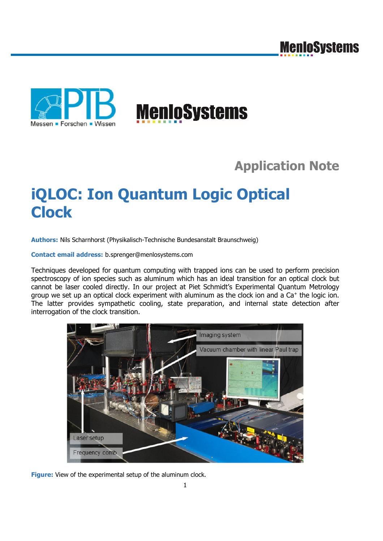



## **Application Note**

## **iQLOC: Ion Quantum Logic Optical Clock**

**Authors:** Nils Scharnhorst (Physikalisch-Technische Bundesanstalt Braunschweig)

**Contact email address:** b.sprenger@menlosystems.com

Techniques developed for quantum computing with trapped ions can be used to perform precision spectroscopy of ion species such as aluminum which has an ideal transition for an optical clock but cannot be laser cooled directly. In our project at Piet Schmidt's Experimental Quantum Metrology group we set up an optical clock experiment with aluminum as the clock ion and a Ca+ the logic ion. The latter provides sympathetic cooling, state preparation, and internal state detection after interrogation of the clock transition.



**Figure:** View of the experimental setup of the aluminum clock.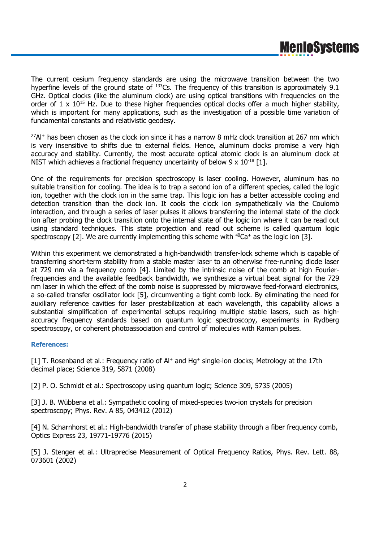The current cesium frequency standards are using the microwave transition between the two hyperfine levels of the ground state of  $133$ Cs. The frequency of this transition is approximately 9.1 GHz. Optical clocks (like the aluminum clock) are using optical transitions with frequencies on the order of  $1 \times 10^{15}$  Hz. Due to these higher frequencies optical clocks offer a much higher stability, which is important for many applications, such as the investigation of a possible time variation of fundamental constants and relativistic geodesy.

 $^{27}$ Al<sup>+</sup> has been chosen as the clock ion since it has a narrow 8 mHz clock transition at 267 nm which is very insensitive to shifts due to external fields. Hence, aluminum clocks promise a very high accuracy and stability. Currently, the most accurate optical atomic clock is an aluminum clock at NIST which achieves a fractional frequency uncertainty of below 9  $\times$  10<sup>-18</sup> [1].

One of the requirements for precision spectroscopy is laser cooling. However, aluminum has no suitable transition for cooling. The idea is to trap a second ion of a different species, called the logic ion, together with the clock ion in the same trap. This logic ion has a better accessible cooling and detection transition than the clock ion. It cools the clock ion sympathetically via the Coulomb interaction, and through a series of laser pulses it allows transferring the internal state of the clock ion after probing the clock transition onto the internal state of the logic ion where it can be read out using standard techniques. This state projection and read out scheme is called quantum logic spectroscopy [2]. We are currently implementing this scheme with  $^{40}$ Ca<sup>+</sup> as the logic ion [3].

Within this experiment we demonstrated a high-bandwidth transfer-lock scheme which is capable of transferring short-term stability from a stable master laser to an otherwise free-running diode laser at 729 nm via a frequency comb [4]. Limited by the intrinsic noise of the comb at high Fourierfrequencies and the available feedback bandwidth, we synthesize a virtual beat signal for the 729 nm laser in which the effect of the comb noise is suppressed by microwave feed-forward electronics, a so-called transfer oscillator lock [5], circumventing a tight comb lock. By eliminating the need for auxiliary reference cavities for laser prestabilization at each wavelength, this capability allows a substantial simplification of experimental setups requiring multiple stable lasers, such as highaccuracy frequency standards based on quantum logic spectroscopy, experiments in Rydberg spectroscopy, or coherent photoassociation and control of molecules with Raman pulses.

## **References:**

[1] T. Rosenband et al.: Frequency ratio of Al<sup>+</sup> and Hg<sup>+</sup> single-ion clocks; Metrology at the 17th decimal place; Science 319, 5871 (2008)

[2] P. O. Schmidt et al.: Spectroscopy using quantum logic; Science 309, 5735 (2005)

[3] J. B. Wübbena et al.: Sympathetic cooling of mixed-species two-ion crystals for precision spectroscopy; Phys. Rev. A 85, 043412 (2012)

[4] N. Scharnhorst et al.: High-bandwidth transfer of phase stability through a fiber frequency comb, Optics Express 23, 19771-19776 (2015)

[5] J. Stenger et al.: Ultraprecise Measurement of Optical Frequency Ratios, Phys. Rev. Lett. 88, 073601 (2002)